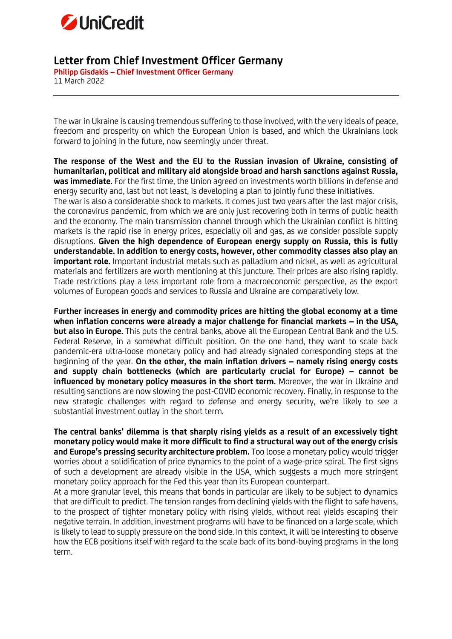

## **Letter from Chief Investment Officer Germany**

**Philipp Gisdakis – Chief Investment Officer Germany** 11 March 2022

The war in Ukraine is causing tremendous suffering to those involved, with the very ideals of peace, freedom and prosperity on which the European Union is based, and which the Ukrainians look forward to joining in the future, now seemingly under threat.

**The response of the West and the EU to the Russian invasion of Ukraine, consisting of humanitarian, political and military aid alongside broad and harsh sanctions against Russia, was immediate.** For the first time, the Union agreed on investments worth billions in defense and energy security and, last but not least, is developing a plan to jointly fund these initiatives. The war is also a considerable shock to markets. It comes just two years after the last major crisis, the coronavirus pandemic, from which we are only just recovering both in terms of public health and the economy. The main transmission channel through which the Ukrainian conflict is hitting markets is the rapid rise in energy prices, especially oil and gas, as we consider possible supply disruptions. **Given the high dependence of European energy supply on Russia, this is fully understandable. In addition to energy costs, however, other commodity classes also play an important role.** Important industrial metals such as palladium and nickel, as well as agricultural materials and fertilizers are worth mentioning at this juncture. Their prices are also rising rapidly. Trade restrictions play a less important role from a macroeconomic perspective, as the export volumes of European goods and services to Russia and Ukraine are comparatively low.

**Further increases in energy and commodity prices are hitting the global economy at a time when inflation concerns were already a major challenge for financial markets – in the USA, but also in Europe.** This puts the central banks, above all the European Central Bank and the U.S. Federal Reserve, in a somewhat difficult position. On the one hand, they want to scale back pandemic-era ultra-loose monetary policy and had already signaled corresponding steps at the beginning of the year. **On the other, the main inflation drivers – namely rising energy costs and supply chain bottlenecks (which are particularly crucial for Europe) – cannot be influenced by monetary policy measures in the short term.** Moreover, the war in Ukraine and resulting sanctions are now slowing the post-COVID economic recovery. Finally, in response to the new strategic challenges with regard to defense and energy security, we're likely to see a substantial investment outlay in the short term.

**The central banks' dilemma is that sharply rising yields as a result of an excessively tight monetary policy would make it more difficult to find a structural way out of the energy crisis and Europe's pressing security architecture problem.** Too loose a monetary policy would trigger worries about a solidification of price dynamics to the point of a wage-price spiral. The first signs of such a development are already visible in the USA, which suggests a much more stringent monetary policy approach for the Fed this year than its European counterpart.

At a more granular level, this means that bonds in particular are likely to be subject to dynamics that are difficult to predict. The tension ranges from declining yields with the flight to safe havens, to the prospect of tighter monetary policy with rising yields, without real yields escaping their negative terrain. In addition, investment programs will have to be financed on a large scale, which is likely to lead to supply pressure on the bond side. In this context, it will be interesting to observe how the ECB positions itself with regard to the scale back of its bond-buying programs in the long term.